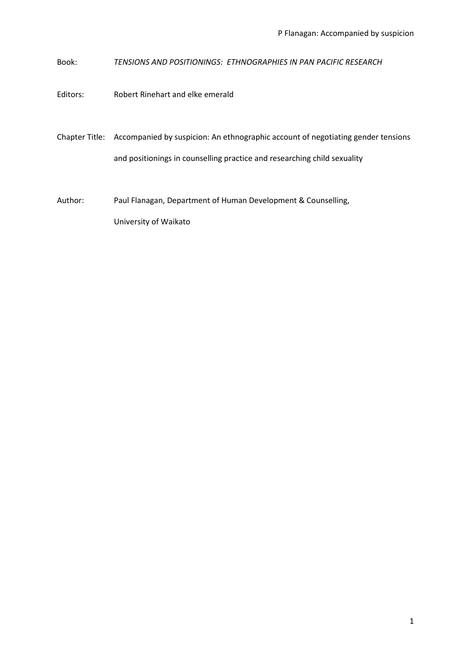Book: *TENSIONS AND POSITIONINGS: ETHNOGRAPHIES IN PAN PACIFIC RESEARCH*

- Editors: Robert Rinehart and elke emerald
- Chapter Title: Accompanied by suspicion: An ethnographic account of negotiating gender tensions and positionings in counselling practice and researching child sexuality
- Author: Paul Flanagan, Department of Human Development & Counselling, University of Waikato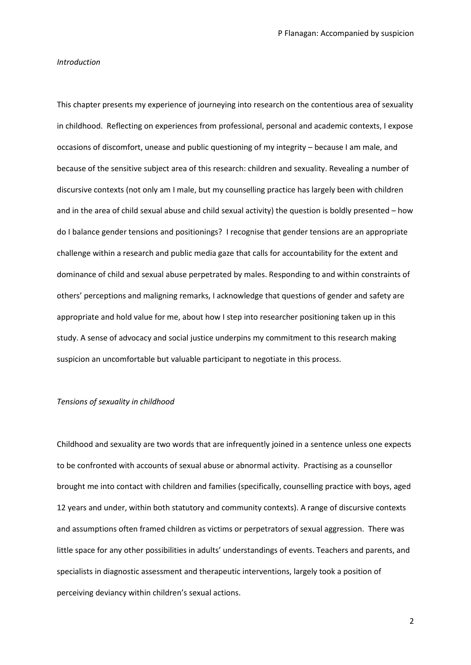#### *Introduction*

This chapter presents my experience of journeying into research on the contentious area of sexuality in childhood. Reflecting on experiences from professional, personal and academic contexts, I expose occasions of discomfort, unease and public questioning of my integrity – because I am male, and because of the sensitive subject area of this research: children and sexuality. Revealing a number of discursive contexts (not only am I male, but my counselling practice has largely been with children and in the area of child sexual abuse and child sexual activity) the question is boldly presented – how do I balance gender tensions and positionings? I recognise that gender tensions are an appropriate challenge within a research and public media gaze that calls for accountability for the extent and dominance of child and sexual abuse perpetrated by males. Responding to and within constraints of others' perceptions and maligning remarks, I acknowledge that questions of gender and safety are appropriate and hold value for me, about how I step into researcher positioning taken up in this study. A sense of advocacy and social justice underpins my commitment to this research making suspicion an uncomfortable but valuable participant to negotiate in this process.

# *Tensions of sexuality in childhood*

Childhood and sexuality are two words that are infrequently joined in a sentence unless one expects to be confronted with accounts of sexual abuse or abnormal activity. Practising as a counsellor brought me into contact with children and families (specifically, counselling practice with boys, aged 12 years and under, within both statutory and community contexts). A range of discursive contexts and assumptions often framed children as victims or perpetrators of sexual aggression. There was little space for any other possibilities in adults' understandings of events. Teachers and parents, and specialists in diagnostic assessment and therapeutic interventions, largely took a position of perceiving deviancy within children's sexual actions.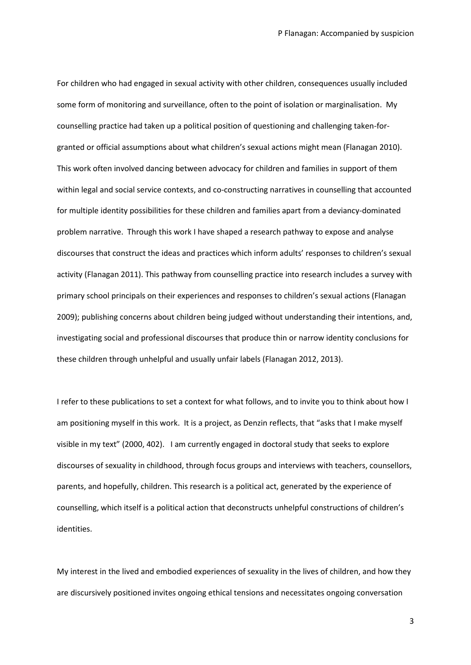For children who had engaged in sexual activity with other children, consequences usually included some form of monitoring and surveillance, often to the point of isolation or marginalisation. My counselling practice had taken up a political position of questioning and challenging taken-forgranted or official assumptions about what children's sexual actions might mean (Flanagan 2010). This work often involved dancing between advocacy for children and families in support of them within legal and social service contexts, and co-constructing narratives in counselling that accounted for multiple identity possibilities for these children and families apart from a deviancy-dominated problem narrative. Through this work I have shaped a research pathway to expose and analyse discourses that construct the ideas and practices which inform adults' responses to children's sexual activity (Flanagan 2011). This pathway from counselling practice into research includes a survey with primary school principals on their experiences and responses to children's sexual actions (Flanagan 2009); publishing concerns about children being judged without understanding their intentions, and, investigating social and professional discourses that produce thin or narrow identity conclusions for these children through unhelpful and usually unfair labels (Flanagan 2012, 2013).

I refer to these publications to set a context for what follows, and to invite you to think about how I am positioning myself in this work. It is a project, as Denzin reflects, that "asks that I make myself visible in my text" (2000, 402). I am currently engaged in doctoral study that seeks to explore discourses of sexuality in childhood, through focus groups and interviews with teachers, counsellors, parents, and hopefully, children. This research is a political act, generated by the experience of counselling, which itself is a political action that deconstructs unhelpful constructions of children's identities.

My interest in the lived and embodied experiences of sexuality in the lives of children, and how they are discursively positioned invites ongoing ethical tensions and necessitates ongoing conversation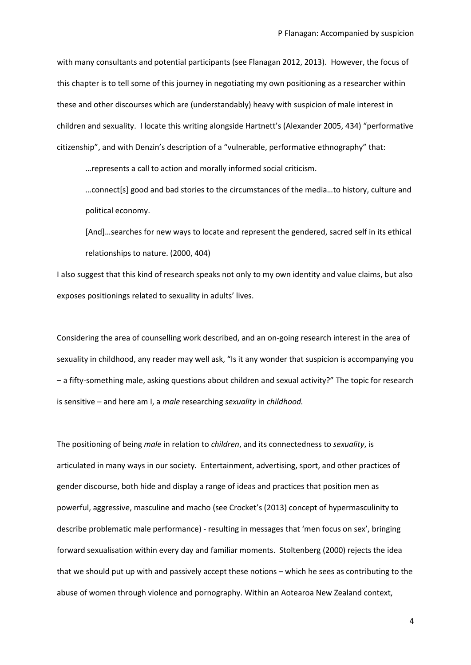with many consultants and potential participants (see Flanagan 2012, 2013). However, the focus of this chapter is to tell some of this journey in negotiating my own positioning as a researcher within these and other discourses which are (understandably) heavy with suspicion of male interest in children and sexuality. I locate this writing alongside Hartnett's (Alexander 2005, 434) "performative citizenship", and with Denzin's description of a "vulnerable, performative ethnography" that:

…represents a call to action and morally informed social criticism.

…connect[s] good and bad stories to the circumstances of the media…to history, culture and political economy.

[And]…searches for new ways to locate and represent the gendered, sacred self in its ethical relationships to nature. (2000, 404)

I also suggest that this kind of research speaks not only to my own identity and value claims, but also exposes positionings related to sexuality in adults' lives.

Considering the area of counselling work described, and an on-going research interest in the area of sexuality in childhood, any reader may well ask, "Is it any wonder that suspicion is accompanying you – a fifty-something male, asking questions about children and sexual activity?" The topic for research is sensitive – and here am I, a *male* researching *sexuality* in *childhood.*

The positioning of being *male* in relation to *children*, and its connectedness to *sexuality*, is articulated in many ways in our society. Entertainment, advertising, sport, and other practices of gender discourse, both hide and display a range of ideas and practices that position men as powerful, aggressive, masculine and macho (see Crocket's (2013) concept of hypermasculinity to describe problematic male performance) - resulting in messages that 'men focus on sex', bringing forward sexualisation within every day and familiar moments. Stoltenberg (2000) rejects the idea that we should put up with and passively accept these notions – which he sees as contributing to the abuse of women through violence and pornography. Within an Aotearoa New Zealand context,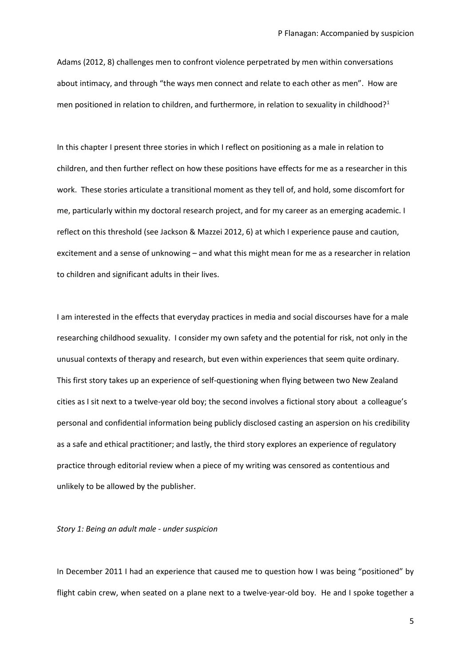Adams (2012, 8) challenges men to confront violence perpetrated by men within conversations about intimacy, and through "the ways men connect and relate to each other as men". How are men positioned in relation to children, and furthermore, in relation to sexuality in childhood?<sup>[1](#page-20-0)</sup>

In this chapter I present three stories in which I reflect on positioning as a male in relation to children, and then further reflect on how these positions have effects for me as a researcher in this work. These stories articulate a transitional moment as they tell of, and hold, some discomfort for me, particularly within my doctoral research project, and for my career as an emerging academic. I reflect on this threshold (see Jackson & Mazzei 2012, 6) at which I experience pause and caution, excitement and a sense of unknowing – and what this might mean for me as a researcher in relation to children and significant adults in their lives.

I am interested in the effects that everyday practices in media and social discourses have for a male researching childhood sexuality. I consider my own safety and the potential for risk, not only in the unusual contexts of therapy and research, but even within experiences that seem quite ordinary. This first story takes up an experience of self-questioning when flying between two New Zealand cities as I sit next to a twelve-year old boy; the second involves a fictional story about a colleague's personal and confidential information being publicly disclosed casting an aspersion on his credibility as a safe and ethical practitioner; and lastly, the third story explores an experience of regulatory practice through editorial review when a piece of my writing was censored as contentious and unlikely to be allowed by the publisher.

#### *Story 1: Being an adult male - under suspicion*

In December 2011 I had an experience that caused me to question how I was being "positioned" by flight cabin crew, when seated on a plane next to a twelve-year-old boy. He and I spoke together a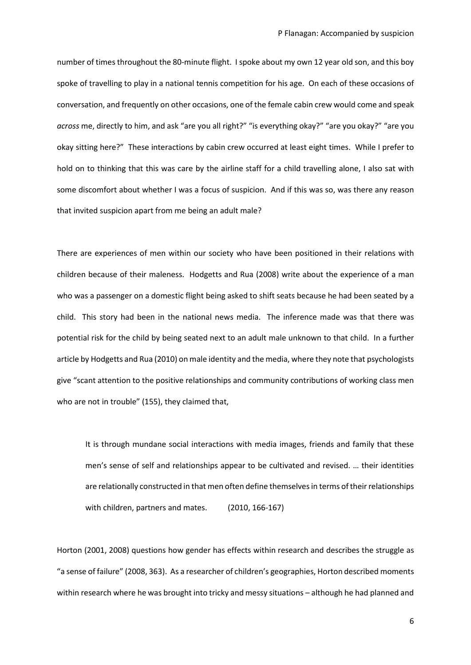number of times throughout the 80-minute flight. I spoke about my own 12 year old son, and this boy spoke of travelling to play in a national tennis competition for his age. On each of these occasions of conversation, and frequently on other occasions, one of the female cabin crew would come and speak *across* me, directly to him, and ask "are you all right?" "is everything okay?" "are you okay?" "are you okay sitting here?" These interactions by cabin crew occurred at least eight times. While I prefer to hold on to thinking that this was care by the airline staff for a child travelling alone, I also sat with some discomfort about whether I was a focus of suspicion. And if this was so, was there any reason that invited suspicion apart from me being an adult male?

There are experiences of men within our society who have been positioned in their relations with children because of their maleness. Hodgetts and Rua (2008) write about the experience of a man who was a passenger on a domestic flight being asked to shift seats because he had been seated by a child. This story had been in the national news media. The inference made was that there was potential risk for the child by being seated next to an adult male unknown to that child. In a further article by Hodgetts and Rua (2010) on male identity and the media, where they note that psychologists give "scant attention to the positive relationships and community contributions of working class men who are not in trouble" (155), they claimed that,

It is through mundane social interactions with media images, friends and family that these men's sense of self and relationships appear to be cultivated and revised. … their identities are relationally constructed in that men often define themselves in terms of their relationships with children, partners and mates. (2010, 166-167)

Horton (2001, 2008) questions how gender has effects within research and describes the struggle as "a sense of failure" (2008, 363). As a researcher of children's geographies, Horton described moments within research where he was brought into tricky and messy situations – although he had planned and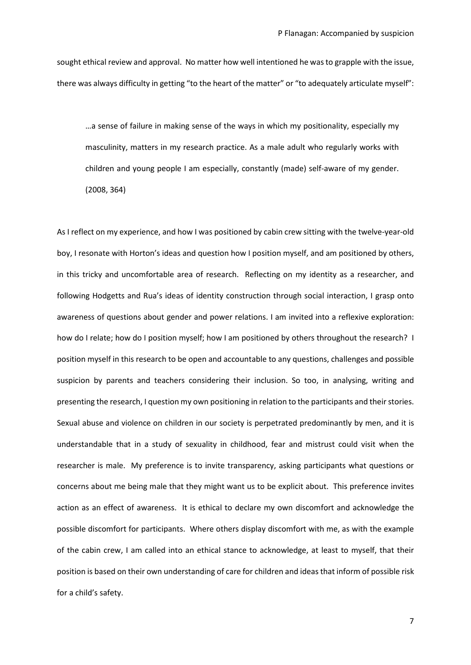sought ethical review and approval. No matter how well intentioned he was to grapple with the issue, there was always difficulty in getting "to the heart of the matter" or "to adequately articulate myself":

…a sense of failure in making sense of the ways in which my positionality, especially my masculinity, matters in my research practice. As a male adult who regularly works with children and young people I am especially, constantly (made) self-aware of my gender. (2008, 364)

As I reflect on my experience, and how I was positioned by cabin crew sitting with the twelve-year-old boy, I resonate with Horton's ideas and question how I position myself, and am positioned by others, in this tricky and uncomfortable area of research. Reflecting on my identity as a researcher, and following Hodgetts and Rua's ideas of identity construction through social interaction, I grasp onto awareness of questions about gender and power relations. I am invited into a reflexive exploration: how do I relate; how do I position myself; how I am positioned by others throughout the research? I position myself in this research to be open and accountable to any questions, challenges and possible suspicion by parents and teachers considering their inclusion. So too, in analysing, writing and presenting the research, I question my own positioning in relation to the participants and their stories. Sexual abuse and violence on children in our society is perpetrated predominantly by men, and it is understandable that in a study of sexuality in childhood, fear and mistrust could visit when the researcher is male. My preference is to invite transparency, asking participants what questions or concerns about me being male that they might want us to be explicit about. This preference invites action as an effect of awareness. It is ethical to declare my own discomfort and acknowledge the possible discomfort for participants. Where others display discomfort with me, as with the example of the cabin crew, I am called into an ethical stance to acknowledge, at least to myself, that their position is based on their own understanding of care for children and ideas that inform of possible risk for a child's safety.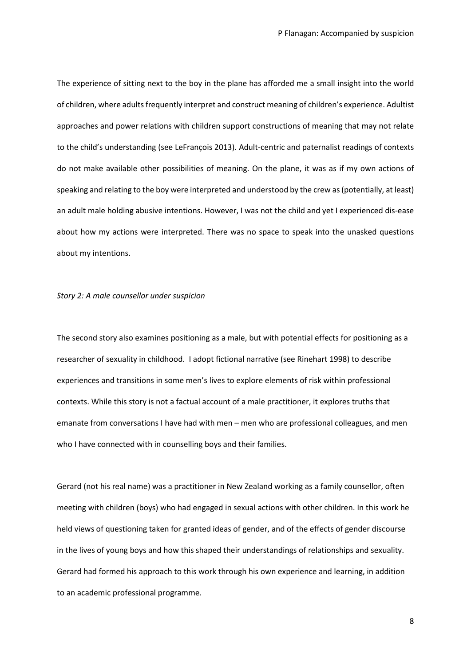The experience of sitting next to the boy in the plane has afforded me a small insight into the world of children, where adults frequently interpret and construct meaning of children's experience. Adultist approaches and power relations with children support constructions of meaning that may not relate to the child's understanding (see LeFrançois 2013). Adult-centric and paternalist readings of contexts do not make available other possibilities of meaning. On the plane, it was as if my own actions of speaking and relating to the boy were interpreted and understood by the crew as (potentially, at least) an adult male holding abusive intentions. However, I was not the child and yet I experienced dis-ease about how my actions were interpreted. There was no space to speak into the unasked questions about my intentions.

## *Story 2: A male counsellor under suspicion*

The second story also examines positioning as a male, but with potential effects for positioning as a researcher of sexuality in childhood. I adopt fictional narrative (see Rinehart 1998) to describe experiences and transitions in some men's lives to explore elements of risk within professional contexts. While this story is not a factual account of a male practitioner, it explores truths that emanate from conversations I have had with men – men who are professional colleagues, and men who I have connected with in counselling boys and their families.

Gerard (not his real name) was a practitioner in New Zealand working as a family counsellor, often meeting with children (boys) who had engaged in sexual actions with other children. In this work he held views of questioning taken for granted ideas of gender, and of the effects of gender discourse in the lives of young boys and how this shaped their understandings of relationships and sexuality. Gerard had formed his approach to this work through his own experience and learning, in addition to an academic professional programme.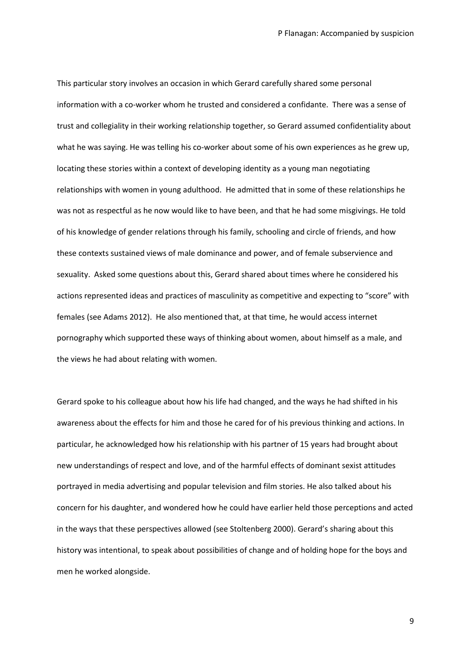This particular story involves an occasion in which Gerard carefully shared some personal information with a co-worker whom he trusted and considered a confidante. There was a sense of trust and collegiality in their working relationship together, so Gerard assumed confidentiality about what he was saying. He was telling his co-worker about some of his own experiences as he grew up, locating these stories within a context of developing identity as a young man negotiating relationships with women in young adulthood. He admitted that in some of these relationships he was not as respectful as he now would like to have been, and that he had some misgivings. He told of his knowledge of gender relations through his family, schooling and circle of friends, and how these contexts sustained views of male dominance and power, and of female subservience and sexuality. Asked some questions about this, Gerard shared about times where he considered his actions represented ideas and practices of masculinity as competitive and expecting to "score" with females (see Adams 2012). He also mentioned that, at that time, he would access internet pornography which supported these ways of thinking about women, about himself as a male, and the views he had about relating with women.

Gerard spoke to his colleague about how his life had changed, and the ways he had shifted in his awareness about the effects for him and those he cared for of his previous thinking and actions. In particular, he acknowledged how his relationship with his partner of 15 years had brought about new understandings of respect and love, and of the harmful effects of dominant sexist attitudes portrayed in media advertising and popular television and film stories. He also talked about his concern for his daughter, and wondered how he could have earlier held those perceptions and acted in the ways that these perspectives allowed (see Stoltenberg 2000). Gerard's sharing about this history was intentional, to speak about possibilities of change and of holding hope for the boys and men he worked alongside.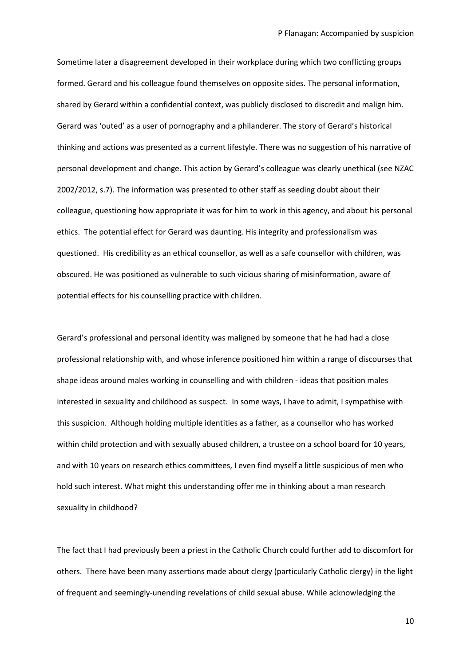Sometime later a disagreement developed in their workplace during which two conflicting groups formed. Gerard and his colleague found themselves on opposite sides. The personal information, shared by Gerard within a confidential context, was publicly disclosed to discredit and malign him. Gerard was 'outed' as a user of pornography and a philanderer. The story of Gerard's historical thinking and actions was presented as a current lifestyle. There was no suggestion of his narrative of personal development and change. This action by Gerard's colleague was clearly unethical (see NZAC 2002/2012, s.7). The information was presented to other staff as seeding doubt about their colleague, questioning how appropriate it was for him to work in this agency, and about his personal ethics. The potential effect for Gerard was daunting. His integrity and professionalism was questioned. His credibility as an ethical counsellor, as well as a safe counsellor with children, was obscured. He was positioned as vulnerable to such vicious sharing of misinformation, aware of potential effects for his counselling practice with children.

Gerard's professional and personal identity was maligned by someone that he had had a close professional relationship with, and whose inference positioned him within a range of discourses that shape ideas around males working in counselling and with children - ideas that position males interested in sexuality and childhood as suspect. In some ways, I have to admit, I sympathise with this suspicion. Although holding multiple identities as a father, as a counsellor who has worked within child protection and with sexually abused children, a trustee on a school board for 10 years, and with 10 years on research ethics committees, I even find myself a little suspicious of men who hold such interest. What might this understanding offer me in thinking about a man research sexuality in childhood?

The fact that I had previously been a priest in the Catholic Church could further add to discomfort for others. There have been many assertions made about clergy (particularly Catholic clergy) in the light of frequent and seemingly-unending revelations of child sexual abuse. While acknowledging the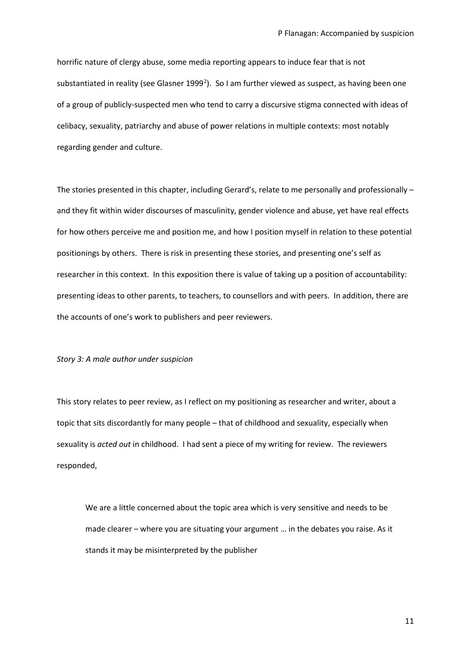horrific nature of clergy abuse, some media reporting appears to induce fear that is not substantiated in reality (see Glasner 1999<sup>[2](#page-20-1)</sup>). So I am further viewed as suspect, as having been one of a group of publicly-suspected men who tend to carry a discursive stigma connected with ideas of celibacy, sexuality, patriarchy and abuse of power relations in multiple contexts: most notably regarding gender and culture.

The stories presented in this chapter, including Gerard's, relate to me personally and professionally – and they fit within wider discourses of masculinity, gender violence and abuse, yet have real effects for how others perceive me and position me, and how I position myself in relation to these potential positionings by others. There is risk in presenting these stories, and presenting one's self as researcher in this context. In this exposition there is value of taking up a position of accountability: presenting ideas to other parents, to teachers, to counsellors and with peers. In addition, there are the accounts of one's work to publishers and peer reviewers.

## *Story 3: A male author under suspicion*

This story relates to peer review, as I reflect on my positioning as researcher and writer, about a topic that sits discordantly for many people – that of childhood and sexuality, especially when sexuality is *acted out* in childhood. I had sent a piece of my writing for review. The reviewers responded,

We are a little concerned about the topic area which is very sensitive and needs to be made clearer – where you are situating your argument … in the debates you raise. As it stands it may be misinterpreted by the publisher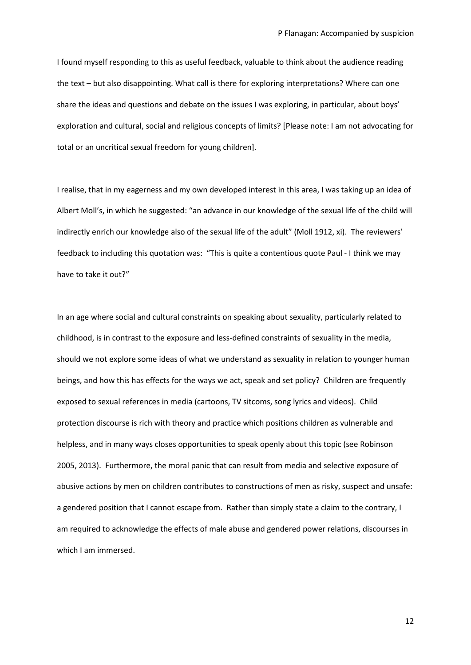I found myself responding to this as useful feedback, valuable to think about the audience reading the text – but also disappointing. What call is there for exploring interpretations? Where can one share the ideas and questions and debate on the issues I was exploring, in particular, about boys' exploration and cultural, social and religious concepts of limits? [Please note: I am not advocating for total or an uncritical sexual freedom for young children].

I realise, that in my eagerness and my own developed interest in this area, I was taking up an idea of Albert Moll's, in which he suggested: "an advance in our knowledge of the sexual life of the child will indirectly enrich our knowledge also of the sexual life of the adult" (Moll 1912, xi). The reviewers' feedback to including this quotation was: "This is quite a contentious quote Paul - I think we may have to take it out?"

In an age where social and cultural constraints on speaking about sexuality, particularly related to childhood, is in contrast to the exposure and less-defined constraints of sexuality in the media, should we not explore some ideas of what we understand as sexuality in relation to younger human beings, and how this has effects for the ways we act, speak and set policy? Children are frequently exposed to sexual references in media (cartoons, TV sitcoms, song lyrics and videos). Child protection discourse is rich with theory and practice which positions children as vulnerable and helpless, and in many ways closes opportunities to speak openly about this topic (see Robinson 2005, 2013). Furthermore, the moral panic that can result from media and selective exposure of abusive actions by men on children contributes to constructions of men as risky, suspect and unsafe: a gendered position that I cannot escape from. Rather than simply state a claim to the contrary, I am required to acknowledge the effects of male abuse and gendered power relations, discourses in which I am immersed.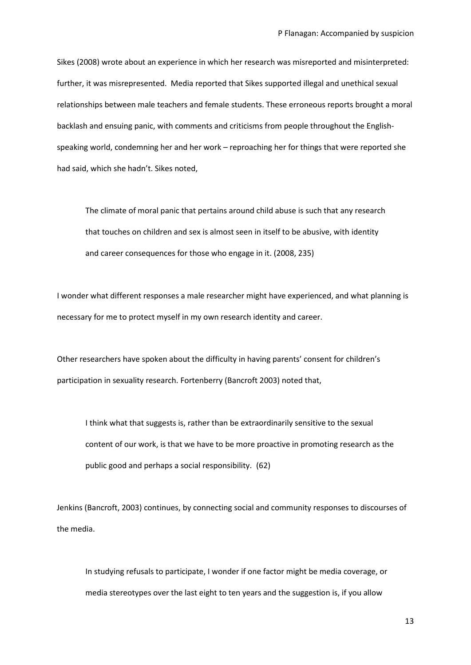Sikes (2008) wrote about an experience in which her research was misreported and misinterpreted: further, it was misrepresented. Media reported that Sikes supported illegal and unethical sexual relationships between male teachers and female students. These erroneous reports brought a moral backlash and ensuing panic, with comments and criticisms from people throughout the Englishspeaking world, condemning her and her work – reproaching her for things that were reported she had said, which she hadn't. Sikes noted,

The climate of moral panic that pertains around child abuse is such that any research that touches on children and sex is almost seen in itself to be abusive, with identity and career consequences for those who engage in it. (2008, 235)

I wonder what different responses a male researcher might have experienced, and what planning is necessary for me to protect myself in my own research identity and career.

Other researchers have spoken about the difficulty in having parents' consent for children's participation in sexuality research. Fortenberry (Bancroft 2003) noted that,

I think what that suggests is, rather than be extraordinarily sensitive to the sexual content of our work, is that we have to be more proactive in promoting research as the public good and perhaps a social responsibility. (62)

Jenkins (Bancroft, 2003) continues, by connecting social and community responses to discourses of the media.

In studying refusals to participate, I wonder if one factor might be media coverage, or media stereotypes over the last eight to ten years and the suggestion is, if you allow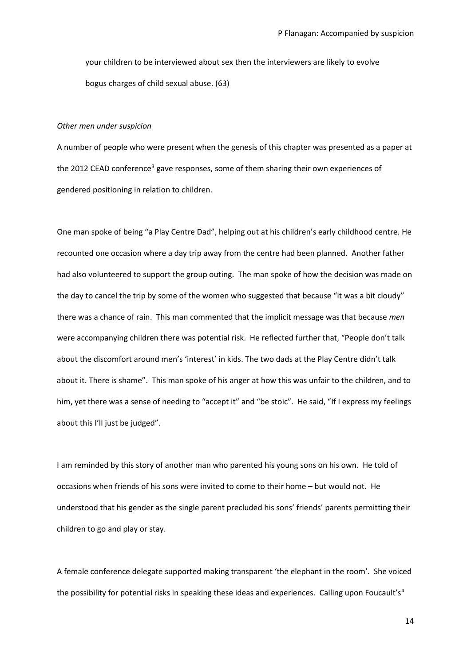your children to be interviewed about sex then the interviewers are likely to evolve bogus charges of child sexual abuse. (63)

## *Other men under suspicion*

A number of people who were present when the genesis of this chapter was presented as a paper at the 2012 CEAD conference<sup>[3](#page-20-2)</sup> gave responses, some of them sharing their own experiences of gendered positioning in relation to children.

One man spoke of being "a Play Centre Dad", helping out at his children's early childhood centre. He recounted one occasion where a day trip away from the centre had been planned. Another father had also volunteered to support the group outing. The man spoke of how the decision was made on the day to cancel the trip by some of the women who suggested that because "it was a bit cloudy" there was a chance of rain. This man commented that the implicit message was that because *men* were accompanying children there was potential risk. He reflected further that, "People don't talk about the discomfort around men's 'interest' in kids. The two dads at the Play Centre didn't talk about it. There is shame". This man spoke of his anger at how this was unfair to the children, and to him, yet there was a sense of needing to "accept it" and "be stoic". He said, "If I express my feelings about this I'll just be judged".

I am reminded by this story of another man who parented his young sons on his own. He told of occasions when friends of his sons were invited to come to their home – but would not. He understood that his gender as the single parent precluded his sons' friends' parents permitting their children to go and play or stay.

A female conference delegate supported making transparent 'the elephant in the room'. She voiced the possibility for potential risks in speaking these ideas and experiences. Calling upon Foucault's<sup>[4](#page-20-3)</sup>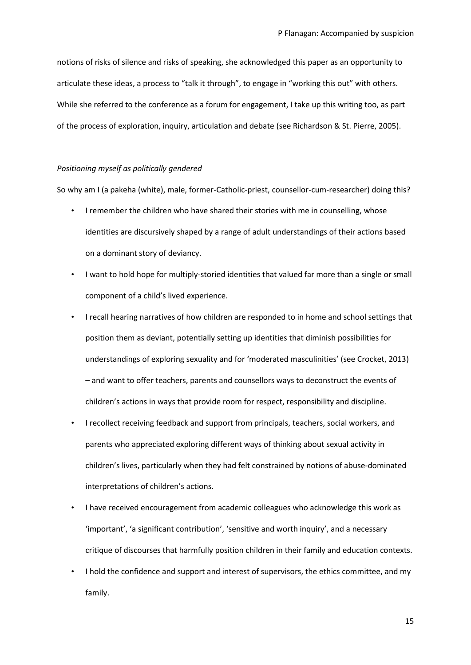notions of risks of silence and risks of speaking, she acknowledged this paper as an opportunity to articulate these ideas, a process to "talk it through", to engage in "working this out" with others. While she referred to the conference as a forum for engagement, I take up this writing too, as part of the process of exploration, inquiry, articulation and debate (see Richardson & St. Pierre, 2005).

## *Positioning myself as politically gendered*

So why am I (a pakeha (white), male, former-Catholic-priest, counsellor-cum-researcher) doing this?

- I remember the children who have shared their stories with me in counselling, whose identities are discursively shaped by a range of adult understandings of their actions based on a dominant story of deviancy.
- I want to hold hope for multiply-storied identities that valued far more than a single or small component of a child's lived experience.
- I recall hearing narratives of how children are responded to in home and school settings that position them as deviant, potentially setting up identities that diminish possibilities for understandings of exploring sexuality and for 'moderated masculinities' (see Crocket, 2013) – and want to offer teachers, parents and counsellors ways to deconstruct the events of children's actions in ways that provide room for respect, responsibility and discipline.
- I recollect receiving feedback and support from principals, teachers, social workers, and parents who appreciated exploring different ways of thinking about sexual activity in children's lives, particularly when they had felt constrained by notions of abuse-dominated interpretations of children's actions.
- I have received encouragement from academic colleagues who acknowledge this work as 'important', 'a significant contribution', 'sensitive and worth inquiry', and a necessary critique of discourses that harmfully position children in their family and education contexts.
- I hold the confidence and support and interest of supervisors, the ethics committee, and my family.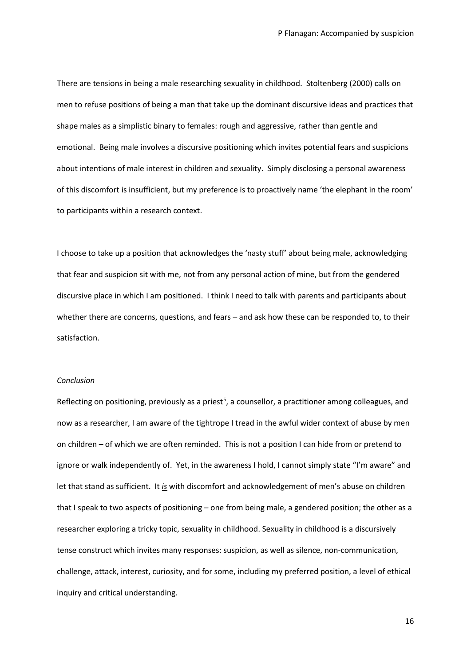There are tensions in being a male researching sexuality in childhood. Stoltenberg (2000) calls on men to refuse positions of being a man that take up the dominant discursive ideas and practices that shape males as a simplistic binary to females: rough and aggressive, rather than gentle and emotional. Being male involves a discursive positioning which invites potential fears and suspicions about intentions of male interest in children and sexuality. Simply disclosing a personal awareness of this discomfort is insufficient, but my preference is to proactively name 'the elephant in the room' to participants within a research context.

I choose to take up a position that acknowledges the 'nasty stuff' about being male, acknowledging that fear and suspicion sit with me, not from any personal action of mine, but from the gendered discursive place in which I am positioned. I think I need to talk with parents and participants about whether there are concerns, questions, and fears – and ask how these can be responded to, to their satisfaction.

#### *Conclusion*

Reflecting on positioning, previously as a priest<sup>5</sup>, a counsellor, a practitioner among colleagues, and now as a researcher, I am aware of the tightrope I tread in the awful wider context of abuse by men on children – of which we are often reminded. This is not a position I can hide from or pretend to ignore or walk independently of. Yet, in the awareness I hold, I cannot simply state "I'm aware" and let that stand as sufficient. It *is* with discomfort and acknowledgement of men's abuse on children that I speak to two aspects of positioning – one from being male, a gendered position; the other as a researcher exploring a tricky topic, sexuality in childhood. Sexuality in childhood is a discursively tense construct which invites many responses: suspicion, as well as silence, non-communication, challenge, attack, interest, curiosity, and for some, including my preferred position, a level of ethical inquiry and critical understanding.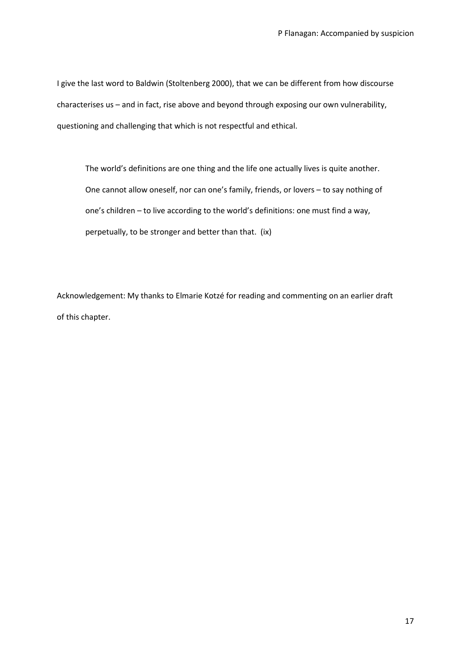I give the last word to Baldwin (Stoltenberg 2000), that we can be different from how discourse characterises us – and in fact, rise above and beyond through exposing our own vulnerability, questioning and challenging that which is not respectful and ethical.

The world's definitions are one thing and the life one actually lives is quite another. One cannot allow oneself, nor can one's family, friends, or lovers – to say nothing of one's children – to live according to the world's definitions: one must find a way, perpetually, to be stronger and better than that. (ix)

Acknowledgement: My thanks to Elmarie Kotzé for reading and commenting on an earlier draft of this chapter.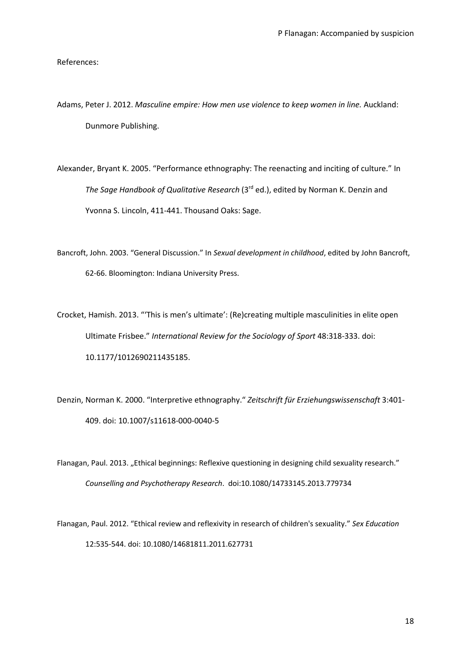References:

- Adams, Peter J. 2012. *Masculine empire: How men use violence to keep women in line.* Auckland: Dunmore Publishing.
- Alexander, Bryant K. 2005. "Performance ethnography: The reenacting and inciting of culture." In *The Sage Handbook of Qualitative Research* (3rd ed.), edited by Norman K. Denzin and Yvonna S. Lincoln, 411-441. Thousand Oaks: Sage.
- Bancroft, John. 2003. "General Discussion." In *Sexual development in childhood*, edited by John Bancroft, 62-66. Bloomington: Indiana University Press.
- Crocket, Hamish. 2013. "'This is men's ultimate': (Re)creating multiple masculinities in elite open Ultimate Frisbee." *International Review for the Sociology of Sport* 48:318-333. doi: 10.1177/1012690211435185.
- Denzin, Norman K. 2000. "Interpretive ethnography." *Zeitschrift für Erziehungswissenschaft* 3:401- 409. doi: 10.1007/s11618-000-0040-5
- Flanagan, Paul. 2013. "Ethical beginnings: Reflexive questioning in designing child sexuality research." *Counselling and Psychotherapy Research*. doi:10.1080/14733145.2013.779734
- Flanagan, Paul. 2012. "Ethical review and reflexivity in research of children's sexuality." *Sex Education*  12:535-544. doi: 10.1080/14681811.2011.627731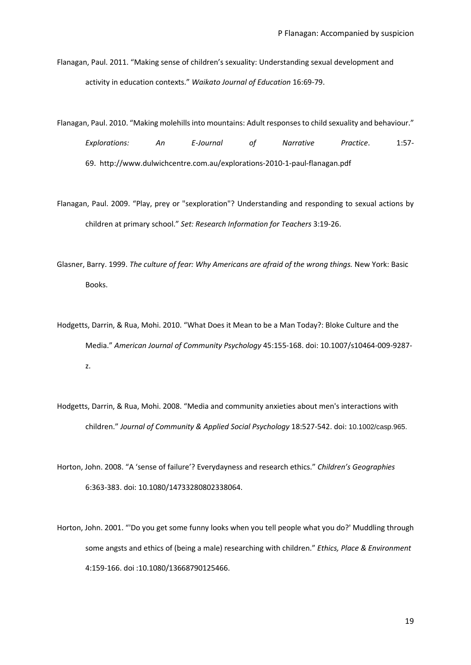Flanagan, Paul. 2011. "Making sense of children's sexuality: Understanding sexual development and activity in education contexts." *Waikato Journal of Education* 16:69-79.

Flanagan, Paul. 2010. "Making molehills into mountains: Adult responses to child sexuality and behaviour." *Explorations: An E-Journal of Narrative Practice*. 1:57- 69. http://www.dulwichcentre.com.au/explorations-2010-1-paul-flanagan.pdf

- Flanagan, Paul. 2009. "Play, prey or "sexploration"? Understanding and responding to sexual actions by children at primary school." *Set: Research Information for Teachers* 3:19-26.
- Glasner, Barry. 1999. *The culture of fear: Why Americans are afraid of the wrong things.* New York: Basic Books.
- Hodgetts, Darrin, & Rua, Mohi. 2010. "What Does it Mean to be a Man Today?: Bloke Culture and the Media." *American Journal of Community Psychology* 45:155-168. doi: 10.1007/s10464-009-9287 z.
- Hodgetts, Darrin, & Rua, Mohi. 2008. "Media and community anxieties about men's interactions with children." *Journal of Community & Applied Social Psychology* 18:527-542. doi: 10.1002/casp.965.
- Horton, John. 2008. "A 'sense of failure'? Everydayness and research ethics." *Children's Geographies*  6:363-383. doi: 10.1080/14733280802338064.
- Horton, John. 2001. "'Do you get some funny looks when you tell people what you do?' Muddling through some angsts and ethics of (being a male) researching with children." *Ethics, Place & Environment*  4:159-166. doi :10.1080/13668790125466.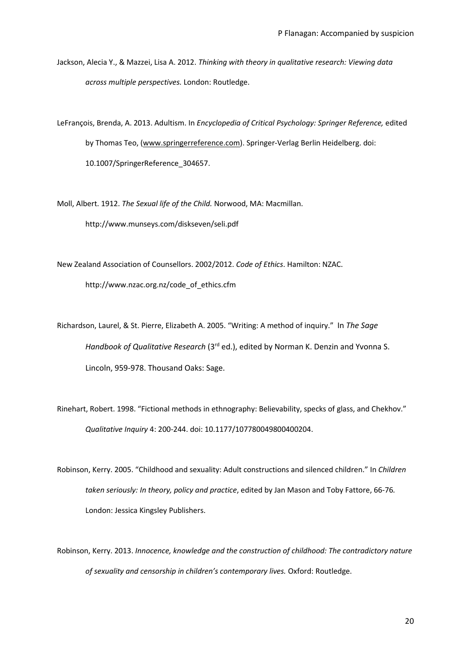Jackson, Alecia Y., & Mazzei, Lisa A. 2012. *Thinking with theory in qualitative research: Viewing data across multiple perspectives.* London: Routledge.

LeFrançois, Brenda, A. 2013. Adultism. In *Encyclopedia of Critical Psychology: Springer Reference,* edited by Thomas Teo, [\(www.springerreference.com\)](http://www.springerreference.com/). Springer-Verlag Berlin Heidelberg. doi: 10.1007/SpringerReference\_304657.

Moll, Albert. 1912. *The Sexual life of the Child.* Norwood, MA: Macmillan. http://www.munseys.com/diskseven/seli.pdf

New Zealand Association of Counsellors. 2002/2012. *Code of Ethics*. Hamilton: NZAC. http://www.nzac.org.nz/code\_of\_ethics.cfm

Richardson, Laurel, & St. Pierre, Elizabeth A. 2005. "Writing: A method of inquiry." In *The Sage Handbook of Qualitative Research* (3<sup>rd</sup> ed.), edited by Norman K. Denzin and Yvonna S. Lincoln, 959-978. Thousand Oaks: Sage.

Rinehart, Robert. 1998. "Fictional methods in ethnography: Believability, specks of glass, and Chekhov." *Qualitative Inquiry* 4: 200-244. doi: 10.1177/107780049800400204.

Robinson, Kerry. 2005. "Childhood and sexuality: Adult constructions and silenced children." In *Children taken seriously: In theory, policy and practice*, edited by Jan Mason and Toby Fattore, 66-76*.* London: Jessica Kingsley Publishers.

Robinson, Kerry. 2013. *Innocence, knowledge and the construction of childhood: The contradictory nature of sexuality and censorship in children's contemporary lives.* Oxford: Routledge.